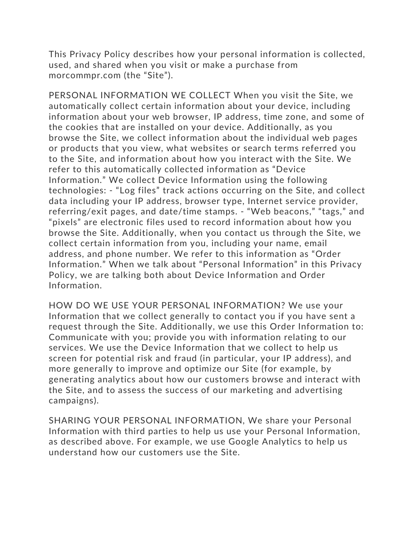This Privacy Policy describes how your personal information is collected, used, and shared when you visit or make a purchase from morcommpr.com (the "Site").

PERSONAL INFORMATION WE COLLECT When you visit the Site, we automatically collect certain information about your device, including information about your web browser, IP address, time zone, and some of the cookies that are installed on your device. Additionally, as you browse the Site, we collect information about the individual web pages or products that you view, what websites or search terms referred you to the Site, and information about how you interact with the Site. We refer to this automatically collected information as "Device Information." We collect Device Information using the following technologies: - "Log files" track actions occurring on the Site, and collect data including your IP address, browser type, Internet service provider, referring/exit pages, and date/time stamps. - "Web beacons," "tags," and "pixels" are electronic files used to record information about how you browse the Site. Additionally, when you contact us through the Site, we collect certain information from you, including your name, email address, and phone number. We refer to this information as "Order Information." When we talk about "Personal Information" in this Privacy Policy, we are talking both about Device Information and Order Information.

HOW DO WE USE YOUR PERSONAL INFORMATION? We use your Information that we collect generally to contact you if you have sent a request through the Site. Additionally, we use this Order Information to: Communicate with you; provide you with information relating to our services. We use the Device Information that we collect to help us screen for potential risk and fraud (in particular, your IP address), and more generally to improve and optimize our Site (for example, by generating analytics about how our customers browse and interact with the Site, and to assess the success of our marketing and advertising campaigns).

SHARING YOUR PERSONAL INFORMATION, We share your Personal Information with third parties to help us use your Personal Information, as described above. For example, we use Google Analytics to help us understand how our customers use the Site.